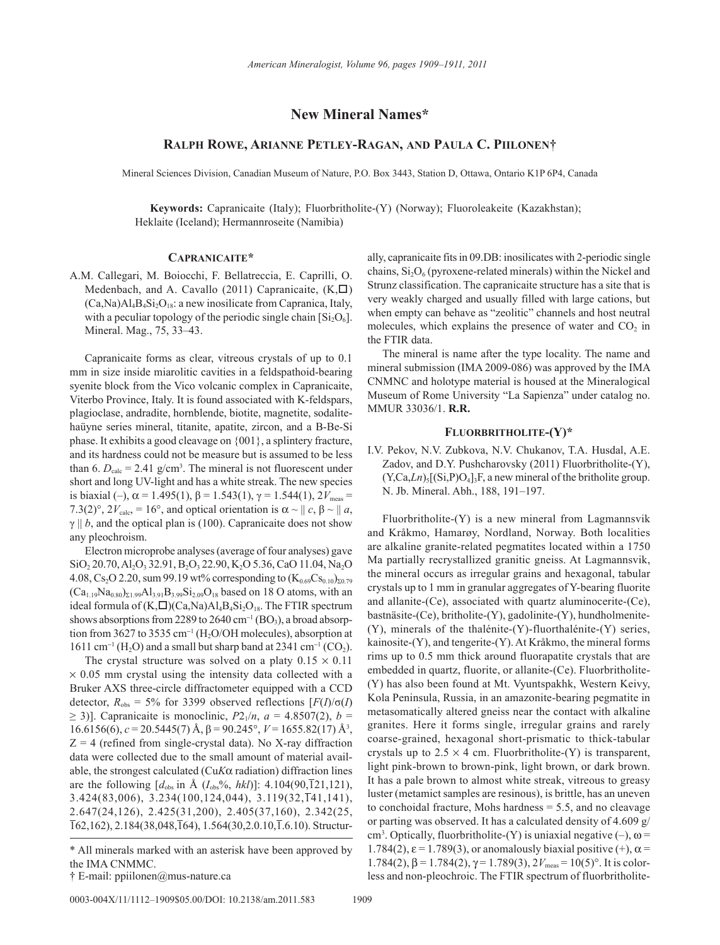# **New Mineral Names\***

## **Ralph Rowe, Arianne Petley-Ragan, and Paula C. Piilonen†**

Mineral Sciences Division, Canadian Museum of Nature, P.O. Box 3443, Station D, Ottawa, Ontario K1P 6P4, Canada

**Keywords:** Capranicaite (Italy); Fluorbritholite-(Y) (Norway); Fluoroleakeite (Kazakhstan); Heklaite (Iceland); Hermannroseite (Namibia)

#### **Capranicaite\***

A.M. Callegari, M. Boiocchi, F. Bellatreccia, E. Caprilli, O. Medenbach, and A. Cavallo (2011) Capranicaite,  $(K,\Box)$  $(Ca,Na)A1_4B_4Si_2O_{18}$ : a new inosilicate from Capranica, Italy, with a peculiar topology of the periodic single chain  $[Si<sub>2</sub>O<sub>6</sub>]$ . Mineral. Mag., 75, 33–43.

Capranicaite forms as clear, vitreous crystals of up to 0.1 mm in size inside miarolitic cavities in a feldspathoid-bearing syenite block from the Vico volcanic complex in Capranicaite, Viterbo Province, Italy. It is found associated with K-feldspars, plagioclase, andradite, hornblende, biotite, magnetite, sodalitehaüyne series mineral, titanite, apatite, zircon, and a B-Be-Si phase. It exhibits a good cleavage on {001}, a splintery fracture, and its hardness could not be measure but is assumed to be less than 6.  $D_{\text{calc}} = 2.41$  g/cm<sup>3</sup>. The mineral is not fluorescent under short and long UV-light and has a white streak. The new species is biaxial (–),  $\alpha$  = 1.495(1),  $\beta$  = 1.543(1),  $\gamma$  = 1.544(1),  $2V_{\text{meas}}$  = 7.3(2)°,  $2V_{\text{calc}} = 16^{\circ}$ , and optical orientation is  $\alpha \sim || c, \beta \sim || a,$  $\gamma \parallel b$ , and the optical plan is (100). Capranicaite does not show any pleochroism.

Electron microprobe analyses (average of four analyses) gave SiO<sub>2</sub> 20.70, Al<sub>2</sub>O<sub>3</sub> 32.91, B<sub>2</sub>O<sub>3</sub> 22.90, K<sub>2</sub>O 5.36, CaO 11.04, Na<sub>2</sub>O 4.08, Cs<sub>2</sub>O 2.20, sum 99.19 wt% corresponding to  $(K_{0.69}Cs_{0.10})_{\Sigma0.79}$  $(Ca_{1.19}Na_{0.80})_{\Sigma1.99}Al_{3.91}B_{3.99}Si_{2.09}O_{18}$  based on 18 O atoms, with an ideal formula of  $(K,\Box)(Ca,Na)Al_4B_4Si_2O_{18}$ . The FTIR spectrum shows absorptions from 2289 to 2640  $cm^{-1}$  (BO<sub>3</sub>), a broad absorption from 3627 to 3535  $cm^{-1}$  (H<sub>2</sub>O/OH molecules), absorption at  $1611 \text{ cm}^{-1}$  (H<sub>2</sub>O) and a small but sharp band at 2341 cm<sup>-1</sup> (CO<sub>2</sub>).

The crystal structure was solved on a platy  $0.15 \times 0.11$  $\times$  0.05 mm crystal using the intensity data collected with a Bruker AXS three-circle diffractometer equipped with a CCD detector,  $R_{obs} = 5\%$  for 3399 observed reflections  $[F(I)/\sigma(I)]$ ≥ 3)]. Capranicaite is monoclinic,  $P2_1/n$ ,  $a = 4.8507(2)$ ,  $b =$ 16.6156(6),  $c = 20.5445(7)$  Å,  $β = 90.245°$ ,  $V = 1655.82(17)$  Å<sup>3</sup>,  $Z = 4$  (refined from single-crystal data). No X-ray diffraction data were collected due to the small amount of material available, the strongest calculated (Cu*K*α radiation) diffraction lines are the following  $[d_{obs}$  in Å  $(I_{obs}\%$ , *hkl*)]: 4.104(90,121,121), 3.424(83,006), 3.234(100,124,044), 3.119(32,141,141), 2.647(24,126), 2.425(31,200), 2.405(37,160), 2.342(25,  $\overline{162,162}$ , 2.184(38,048, $\overline{164}$ ), 1.564(30,2.0.10, $\overline{1.6.10}$ ). Structur-

0003-004X/11/1112-1909\$05.00/DOI: 10.2138/am.2011.583 1909

ally, capranicaite fits in 09.DB: inosilicates with 2-periodic single chains,  $Si<sub>2</sub>O<sub>6</sub>$  (pyroxene-related minerals) within the Nickel and Strunz classification. The capranicaite structure has a site that is very weakly charged and usually filled with large cations, but when empty can behave as "zeolitic" channels and host neutral molecules, which explains the presence of water and  $CO<sub>2</sub>$  in the FTIR data.

The mineral is name after the type locality. The name and mineral submission (IMA 2009-086) was approved by the IMA CNMNC and holotype material is housed at the Mineralogical Museum of Rome University "La Sapienza" under catalog no. MMUR 33036/1. **R.R.**

#### **Fluorbritholite-(Y)\***

I.V. Pekov, N.V. Zubkova, N.V. Chukanov, T.A. Husdal, A.E. Zadov, and D.Y. Pushcharovsky (2011) Fluorbritholite-(Y),  $(Y, Ca, Ln)_5[(Si, P)O_4]_3F$ , a new mineral of the britholite group. N. Jb. Mineral. Abh., 188, 191–197.

Fluorbritholite-(Y) is a new mineral from Lagmannsvik and Kråkmo, Hamarøy, Nordland, Norway. Both localities are alkaline granite-related pegmatites located within a 1750 Ma partially recrystallized granitic gneiss. At Lagmannsvik, the mineral occurs as irregular grains and hexagonal, tabular crystals up to 1 mm in granular aggregates of Y-bearing fluorite and allanite-(Ce), associated with quartz aluminocerite-(Ce), bastnäsite-(Ce), britholite-(Y), gadolinite-(Y), hundholmenite- (Y), minerals of the thalénite-(Y)-fluorthalénite-(Y) series, kainosite-(Y), and tengerite-(Y). At Kråkmo, the mineral forms rims up to 0.5 mm thick around fluorapatite crystals that are embedded in quartz, fluorite, or allanite-(Ce). Fluorbritholite- (Y) has also been found at Mt. Vyuntspakhk, Western Keivy, Kola Peninsula, Russia, in an amazonite-bearing pegmatite in metasomatically altered gneiss near the contact with alkaline granites. Here it forms single, irregular grains and rarely coarse-grained, hexagonal short-prismatic to thick-tabular crystals up to  $2.5 \times 4$  cm. Fluorbritholite-(Y) is transparent, light pink-brown to brown-pink, light brown, or dark brown. It has a pale brown to almost white streak, vitreous to greasy luster (metamict samples are resinous), is brittle, has an uneven to conchoidal fracture, Mohs hardness = 5.5, and no cleavage or parting was observed. It has a calculated density of 4.609 g/ cm<sup>3</sup>. Optically, fluorbritholite-(Y) is uniaxial negative (-),  $\omega$  = 1.784(2),  $\varepsilon$  = 1.789(3), or anomalously biaxial positive (+),  $\alpha$  = 1.784(2), β = 1.784(2),  $γ$  = 1.789(3),  $2V_{\text{meas}}$  = 10(5)°. It is colorless and non-pleochroic. The FTIR spectrum of fluorbritholite-

<sup>\*</sup> All minerals marked with an asterisk have been approved by the IMA CNMMC.

<sup>†</sup> E-mail: ppiilonen@mus-nature.ca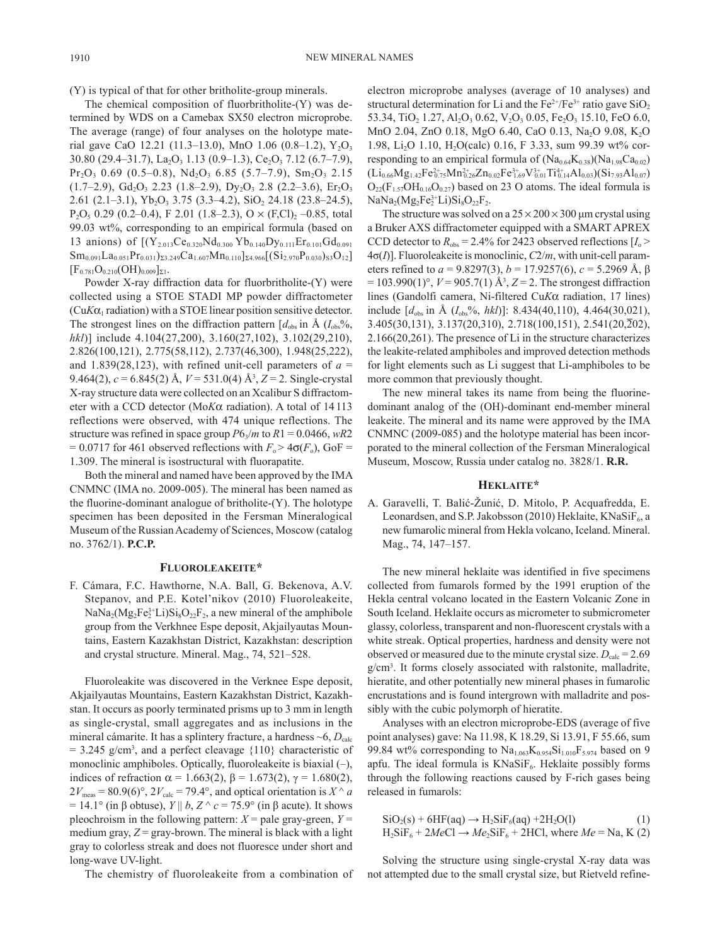(Y) is typical of that for other britholite-group minerals.

The chemical composition of fluorbritholite-(Y) was determined by WDS on a Camebax SX50 electron microprobe. The average (range) of four analyses on the holotype material gave CaO 12.21 (11.3–13.0), MnO 1.06 (0.8–1.2),  $Y_2O_3$ 30.80 (29.4–31.7), La<sub>2</sub>O<sub>3</sub> 1.13 (0.9–1.3), Ce<sub>2</sub>O<sub>3</sub> 7.12 (6.7–7.9),  $Pr_2O_3$  0.69 (0.5–0.8),  $Nd_2O_3$  6.85 (5.7–7.9),  $Sm_2O_3$  2.15  $(1.7–2.9), Gd<sub>2</sub>O<sub>3</sub> 2.23 (1.8–2.9), Dy<sub>2</sub>O<sub>3</sub> 2.8 (2.2–3.6), Er<sub>2</sub>O<sub>3</sub>$ 2.61 (2.1–3.1),  $Yb_2O_3$  3.75 (3.3–4.2),  $SiO_2$  24.18 (23.8–24.5),  $P_2O_5$  0.29 (0.2–0.4), F 2.01 (1.8–2.3), O  $\times$  (F,Cl)<sub>2</sub> –0.85, total 99.03 wt%, corresponding to an empirical formula (based on 13 anions) of  $[(Y_{2.013}Ce_{0.320}Nd_{0.300}Yb_{0.140}Dy_{0.111}Er_{0.101}Gd_{0.091}]$  $\text{Sm}_{0.091}\text{La}_{0.051}\text{Pr}_{0.031}\text{S}_{23.249}\text{Ca}_{1.607}\text{Mn}_{0.110}\text{S}_{4.966}[(\text{Si}_{2.970}\text{P}_{0.030})_{\text{S}3}\text{O}_{12}]$  $[F_{0.781}O_{0.210}(OH)_{0.009}]_{\Sigma1}.$ 

Powder X-ray diffraction data for fluorbritholite-(Y) were collected using a STOE STADI MP powder diffractometer  $(CuK\alpha_1$  radiation) with a STOE linear position sensitive detector. The strongest lines on the diffraction pattern  $[d_{obs}$  in  $\AA$   $(I_{obs}\%$ , *hkl*)] include 4.104(27,200), 3.160(27,102), 3.102(29,210), 2.826(100,121), 2.775(58,112), 2.737(46,300), 1.948(25,222), and 1.839(28,123), with refined unit-cell parameters of  $a =$ 9.464(2), *c* = 6.845(2) Å, *V* = 531.0(4) Å3 , *Z* = 2. Single-crystal X-ray structure data were collected on an Xcalibur S diffractometer with a CCD detector (Mo*K*a radiation). A total of 14113 reflections were observed, with 474 unique reflections. The structure was refined in space group  $P6<sub>3</sub>/m$  to  $R1 = 0.0466$ ,  $wR2$  $= 0.0717$  for 461 observed reflections with  $F_0 > 4\sigma(F_0)$ , GoF = 1.309. The mineral is isostructural with fluorapatite.

Both the mineral and named have been approved by the IMA CNMNC (IMA no. 2009-005). The mineral has been named as the fluorine-dominant analogue of britholite-(Y). The holotype specimen has been deposited in the Fersman Mineralogical Museum of the Russian Academy of Sciences, Moscow (catalog no. 3762/1). **P.C.P.**

### **Fluoroleakeite\***

F. Cámara, F.C. Hawthorne, N.A. Ball, G. Bekenova, A.V. Stepanov, and P.E. Kotel'nikov (2010) Fluoroleakeite,  $\text{NaNa}_2(\text{Mg}_2\text{Fe}_2^{3+}\text{Li})\text{Si}_8\text{O}_{22}\text{F}_2$ , a new mineral of the amphibole group from the Verkhnee Espe deposit, Akjailyautas Mountains, Eastern Kazakhstan District, Kazakhstan: description and crystal structure. Mineral. Mag., 74, 521–528.

Fluoroleakite was discovered in the Verknee Espe deposit, Akjailyautas Mountains, Eastern Kazakhstan District, Kazakhstan. It occurs as poorly terminated prisms up to 3 mm in length as single-crystal, small aggregates and as inclusions in the mineral cámarite. It has a splintery fracture, a hardness  $\sim$ 6,  $D_{\text{calc}}$  $= 3.245$  g/cm<sup>3</sup>, and a perfect cleavage  $\{110\}$  characteristic of monoclinic amphiboles. Optically, fluoroleakeite is biaxial (–), indices of refraction  $\alpha$  = 1.663(2),  $\beta$  = 1.673(2),  $\gamma$  = 1.680(2),  $2V_{\text{meas}} = 80.9(6)^\circ$ ,  $2V_{\text{calc}} = 79.4^\circ$ , and optical orientation is  $X^\wedge a$  $= 14.1^\circ$  (in β obtuse), *Y* || *b*, *Z*  $\land$  *c* = 75.9° (in β acute). It shows pleochroism in the following pattern:  $X =$  pale gray-green,  $Y =$ medium gray,  $Z = \frac{gray-brown}{% }$ . The mineral is black with a light gray to colorless streak and does not fluoresce under short and long-wave UV-light.

The chemistry of fluoroleakeite from a combination of

electron microprobe analyses (average of 10 analyses) and structural determination for Li and the  $Fe^{2+}/Fe^{3+}$  ratio gave SiO<sub>2</sub> 53.34, TiO<sub>2</sub> 1.27, Al<sub>2</sub>O<sub>3</sub> 0.62, V<sub>2</sub>O<sub>3</sub> 0.05, Fe<sub>2</sub>O<sub>3</sub> 15.10, FeO 6.0, MnO 2.04, ZnO 0.18, MgO 6.40, CaO 0.13, Na<sub>2</sub>O 9.08, K<sub>2</sub>O 1.98, Li2O 1.10, H2O(calc) 0.16, F 3.33, sum 99.39 wt% corresponding to an empirical formula of  $(Na_{0.64}K_{0.38})(Na_{1.98}Ca_{0.02})$  $(\mathrm{Li}_{0.66}\mathrm{Mg}_{1.42}\mathrm{Fe}_{0.75}^{2+}\mathrm{Mn}_{0.26}^{2+}\mathrm{Zn}_{0.02}\mathrm{Fe}_{1.69}^{3+}\mathrm{V}_{0.01}^{3+}\mathrm{Ti}_{0.14}^{4+}\mathrm{Al}_{0.03})(\mathrm{Si}_{7.93}\mathrm{Al}_{0.07})$  $O_{22}(F_{1.57}OH_{0.16}O_{0.27})$  based on 23 O atoms. The ideal formula is  $NaNa<sub>2</sub>(Mg<sub>2</sub>Fe<sub>2</sub><sup>3+</sup>Li)Si<sub>8</sub>O<sub>22</sub>F<sub>2</sub>.$ 

The structure was solved on a  $25 \times 200 \times 300$  µm crystal using a Bruker AXS diffractometer equipped with a SMART APREX CCD detector to  $R_{obs} = 2.4\%$  for 2423 observed reflections  $[I_0 >$ 4σ(*I*)]. Fluoroleakeite is monoclinic, *C*2/*m*, with unit-cell parameters refined to  $a = 9.8297(3)$ ,  $b = 17.9257(6)$ ,  $c = 5.2969 \text{ Å}$ ,  $\beta$  $= 103.990(1)$ °,  $V = 905.7(1)$  Å<sup>3</sup>,  $Z = 2$ . The strongest diffraction lines (Gandolfi camera, Ni-filtered Cu*K*α radiation, 17 lines) include  $[d_{obs}$  in Å  $(I_{obs}\%$ , *hkl*)]: 8.434(40,110), 4.464(30,021), 3.405(30,131), 3.137(20,310), 2.718(100,151), 2.541(20,202), 2.166(20,261). The presence of Li in the structure characterizes the leakite-related amphiboles and improved detection methods for light elements such as Li suggest that Li-amphiboles to be more common that previously thought.

The new mineral takes its name from being the fluorinedominant analog of the (OH)-dominant end-member mineral leakeite. The mineral and its name were approved by the IMA CNMNC (2009-085) and the holotype material has been incorporated to the mineral collection of the Fersman Mineralogical Museum, Moscow, Russia under catalog no. 3828/1. **R.R.**

#### **Heklaite\***

A. Garavelli, T. Balić-Žunić, D. Mitolo, P. Acquafredda, E. Leonardsen, and S.P. Jakobsson (2010) Heklaite, KNaSi $F_6$ , a new fumarolic mineral from Hekla volcano, Iceland. Mineral. Mag., 74, 147–157.

The new mineral heklaite was identified in five specimens collected from fumarols formed by the 1991 eruption of the Hekla central volcano located in the Eastern Volcanic Zone in South Iceland. Heklaite occurs as micrometer to submicrometer glassy, colorless, transparent and non-fluorescent crystals with a white streak. Optical properties, hardness and density were not observed or measured due to the minute crystal size.  $D_{\text{calc}} = 2.69$ g/cm3 . It forms closely associated with ralstonite, malladrite, hieratite, and other potentially new mineral phases in fumarolic encrustations and is found intergrown with malladrite and possibly with the cubic polymorph of hieratite.

Analyses with an electron microprobe-EDS (average of five point analyses) gave: Na 11.98, K 18.29, Si 13.91, F 55.66, sum 99.84 wt% corresponding to  $Na<sub>1.063</sub>K<sub>0.954</sub>Si<sub>1.010</sub>F<sub>5.974</sub>$  based on 9 apfu. The ideal formula is  $KNaSiF<sub>6</sub>$ . Heklaite possibly forms through the following reactions caused by F-rich gases being released in fumarols:

$$
SiO2(s) + 6HF(aq) \rightarrow H2SiF6(aq) + 2H2O(l)
$$
 (1)  
H<sub>2</sub>SiF<sub>6</sub> + 2*MeCl* \rightarrow *Me*<sub>2</sub>SiF<sub>6</sub> + 2HCl, where *Me* = Na, K (2)

Solving the structure using single-crystal X-ray data was not attempted due to the small crystal size, but Rietveld refine